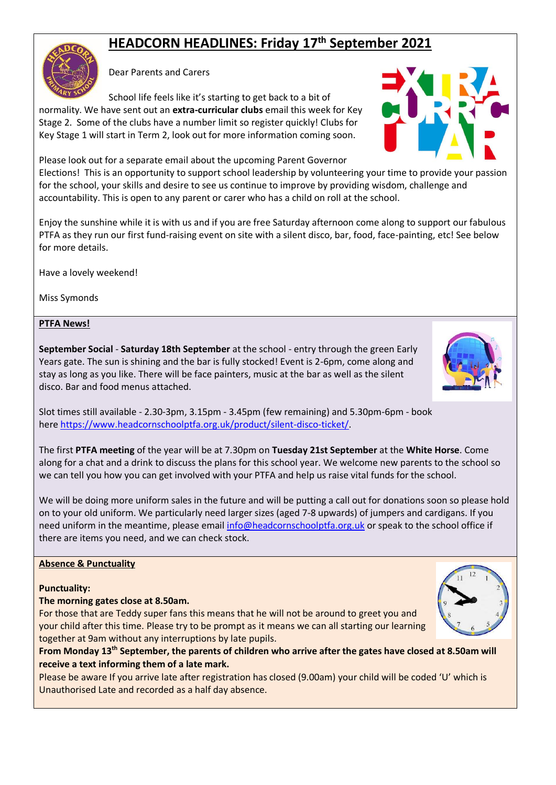# **HEADCORN HEADLINES: Friday 17 th September 2021**

Dear Parents and Carers

School life feels like it's starting to get back to a bit of normality. We have sent out an **extra-curricular clubs** email this week for Key Stage 2. Some of the clubs have a number limit so register quickly! Clubs for Key Stage 1 will start in Term 2, look out for more information coming soon.

Please look out for a separate email about the upcoming Parent Governor Elections! This is an opportunity to support school leadership by volunteering your time to provide your passion for the school, your skills and desire to see us continue to improve by providing wisdom, challenge and accountability. This is open to any parent or carer who has a child on roll at the school.

Enjoy the sunshine while it is with us and if you are free Saturday afternoon come along to support our fabulous PTFA as they run our first fund-raising event on site with a silent disco, bar, food, face-painting, etc! See below for more details.

Have a lovely weekend!

Miss Symonds

## **PTFA News!**

**September Social** - **Saturday 18th September** at the school - entry through the green Early Years gate. The sun is shining and the bar is fully stocked! Event is 2-6pm, come along and stay as long as you like. There will be face painters, music at the bar as well as the silent disco. Bar and food menus attached.

Slot times still available - 2.30-3pm, 3.15pm - 3.45pm (few remaining) and 5.30pm-6pm - book here [https://www.headcornschoolptfa.org.uk/product/silent-disco-ticket/.](http://yjzq.mjt.lu/lnk/AV4AAA2vKXAAAAAAAAAAAAH2UIYAAAAUBYYAAAAAAAvUsABhQxHBUs_97Z88RiuAgdMIKEn6aQAL6Mw/1/iN6O18xg8nAnz7ISsAusbQ/aHR0cHM6Ly93d3cuaGVhZGNvcm5zY2hvb2xwdGZhLm9yZy51ay9wcm9kdWN0L3NpbGVudC1kaXNjby10aWNrZXQv)

The first **PTFA meeting** of the year will be at 7.30pm on **Tuesday 21st September** at the **White Horse**. Come along for a chat and a drink to discuss the plans for this school year. We welcome new parents to the school so we can tell you how you can get involved with your PTFA and help us raise vital funds for the school.

We will be doing more uniform sales in the future and will be putting a call out for donations soon so please hold on to your old uniform. We particularly need larger sizes (aged 7-8 upwards) of jumpers and cardigans. If you need uniform in the meantime, please emai[l info@headcornschoolptfa.org.uk](mailto:info@headcornschoolptfa.org.uk) or speak to the school office if there are items you need, and we can check stock.

## **Absence & Punctuality**

## **Punctuality:**

#### **The morning gates close at 8.50am.**

For those that are Teddy super fans this means that he will not be around to greet you and your child after this time. Please try to be prompt as it means we can all starting our learning together at 9am without any interruptions by late pupils.

**From Monday 13th September, the parents of children who arrive after the gates have closed at 8.50am will receive a text informing them of a late mark.** 

Please be aware If you arrive late after registration has closed (9.00am) your child will be coded 'U' which is Unauthorised Late and recorded as a half day absence.